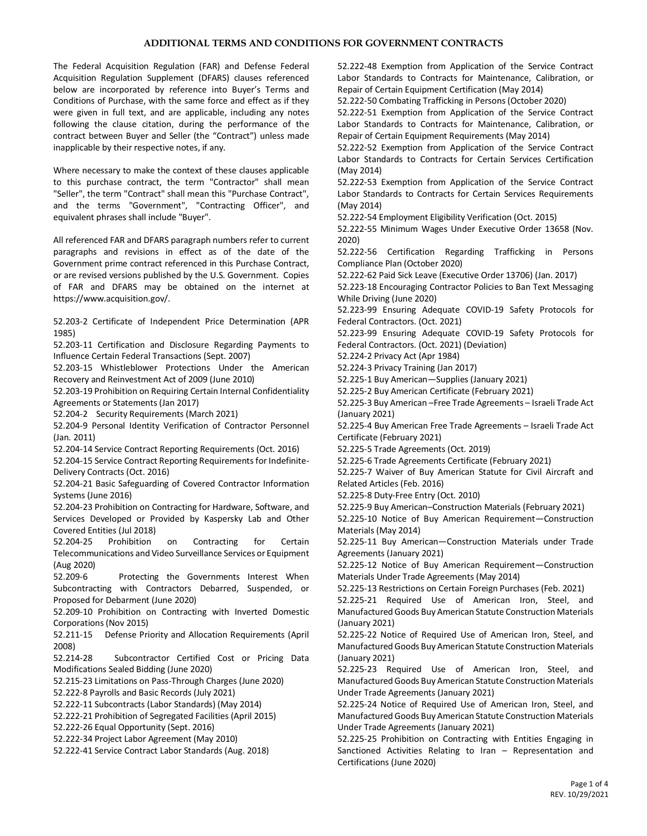## **ADDITIONAL TERMS AND CONDITIONS FOR GOVERNMENT CONTRACTS**

The Federal Acquisition Regulation (FAR) and Defense Federal Acquisition Regulation Supplement (DFARS) clauses referenced below are incorporated by reference into Buyer's Terms and Conditions of Purchase, with the same force and effect as if they were given in full text, and are applicable, including any notes following the clause citation, during the performance of the contract between Buyer and Seller (the "Contract") unless made inapplicable by their respective notes, if any.

Where necessary to make the context of these clauses applicable to this purchase contract, the term "Contractor" shall mean "Seller", the term "Contract" shall mean this "Purchase Contract", and the terms "Government", "Contracting Officer", and equivalent phrases shall include "Buyer".

All referenced FAR and DFARS paragraph numbers refer to current paragraphs and revisions in effect as of the date of the Government prime contract referenced in this Purchase Contract, or are revised versions published by the U.S. Government. Copies of FAR and DFARS may be obtained on the internet at https://www.acquisition.gov/.

52.203-2 Certificate of Independent Price Determination (APR 1985)

52.203-11 Certification and Disclosure Regarding Payments to Influence Certain Federal Transactions (Sept. 2007)

52.203-15 Whistleblower Protections Under the American Recovery and Reinvestment Act of 2009 (June 2010)

52.203-19 Prohibition on Requiring Certain Internal Confidentiality Agreements or Statements (Jan 2017)

52.204-2 Security Requirements (March 2021)

52.204-9 Personal Identity Verification of Contractor Personnel (Jan. 2011)

52.204-14 Service Contract Reporting Requirements (Oct. 2016)

52.204-15 Service Contract Reporting Requirements for Indefinite-Delivery Contracts (Oct. 2016)

52.204-21 Basic Safeguarding of Covered Contractor Information Systems (June 2016)

52.204-23 Prohibition on Contracting for Hardware, Software, and Services Developed or Provided by Kaspersky Lab and Other Covered Entities (Jul 2018)

52.204-25 Prohibition on Contracting for Certain Telecommunications and Video Surveillance Services or Equipment (Aug 2020)

52.209-6 Protecting the Governments Interest When Subcontracting with Contractors Debarred, Suspended, or Proposed for Debarment (June 2020)

52.209-10 Prohibition on Contracting with Inverted Domestic Corporations (Nov 2015)

52.211-15 Defense Priority and Allocation Requirements (April 2008)

52.214-28 Subcontractor Certified Cost or Pricing Data Modifications Sealed Bidding (June 2020)

52.215-23 Limitations on Pass-Through Charges (June 2020)

52.222-8 Payrolls and Basic Records (July 2021)

52.222-11 Subcontracts (Labor Standards) (May 2014)

52.222-21 Prohibition of Segregated Facilities (April 2015)

52.222-26 Equal Opportunity (Sept. 2016)

52.222-34 Project Labor Agreement (May 2010)

52.222-41 Service Contract Labor Standards (Aug. 2018)

52.222-48 Exemption from Application of the Service Contract Labor Standards to Contracts for Maintenance, Calibration, or Repair of Certain Equipment Certification (May 2014)

52.222-50 Combating Trafficking in Persons (October 2020)

52.222-51 Exemption from Application of the Service Contract Labor Standards to Contracts for Maintenance, Calibration, or Repair of Certain Equipment Requirements (May 2014)

52.222-52 Exemption from Application of the Service Contract Labor Standards to Contracts for Certain Services Certification (May 2014)

52.222-53 Exemption from Application of the Service Contract Labor Standards to Contracts for Certain Services Requirements (May 2014)

52.222-54 Employment Eligibility Verification (Oct. 2015)

52.222-55 Minimum Wages Under Executive Order 13658 (Nov. 2020)

52.222-56 Certification Regarding Trafficking in Persons Compliance Plan (October 2020)

52.222-62 Paid Sick Leave (Executive Order 13706) (Jan. 2017)

52.223-18 Encouraging Contractor Policies to Ban Text Messaging While Driving (June 2020)

52.223-99 Ensuring Adequate COVID-19 Safety Protocols for Federal Contractors. (Oct. 2021)

52.223-99 Ensuring Adequate COVID-19 Safety Protocols for Federal Contractors. (Oct. 2021) (Deviation)

52.224-2 Privacy Act (Apr 1984)

52.224-3 Privacy Training (Jan 2017)

52.225-1 Buy American—Supplies (January 2021)

52.225-2 Buy American Certificate (February 2021)

52.225-3 Buy American –Free Trade Agreements – Israeli Trade Act (January 2021)

52.225-4 Buy American Free Trade Agreements – Israeli Trade Act Certificate (February 2021)

52.225-5 Trade Agreements (Oct. 2019)

52.225-6 Trade Agreements Certificate (February 2021)

52.225-7 Waiver of Buy American Statute for Civil Aircraft and Related Articles (Feb. 2016)

52.225-8 Duty-Free Entry (Oct. 2010)

52.225-9 Buy American–Construction Materials (February 2021)

52.225-10 Notice of Buy American Requirement—Construction Materials (May 2014)

52.225-11 Buy American—Construction Materials under Trade Agreements (January 2021)

52.225-12 Notice of Buy American Requirement—Construction Materials Under Trade Agreements (May 2014)

52.225-13 Restrictions on Certain Foreign Purchases (Feb. 2021)

52.225-21 Required Use of American Iron, Steel, and Manufactured Goods Buy American Statute Construction Materials (January 2021)

52.225-22 Notice of Required Use of American Iron, Steel, and Manufactured Goods Buy American Statute Construction Materials (January 2021)

52.225-23 Required Use of American Iron, Steel, and Manufactured Goods Buy American Statute Construction Materials Under Trade Agreements (January 2021)

52.225-24 Notice of Required Use of American Iron, Steel, and Manufactured Goods Buy American Statute Construction Materials Under Trade Agreements (January 2021)

52.225-25 Prohibition on Contracting with Entities Engaging in Sanctioned Activities Relating to Iran – Representation and Certifications (June 2020)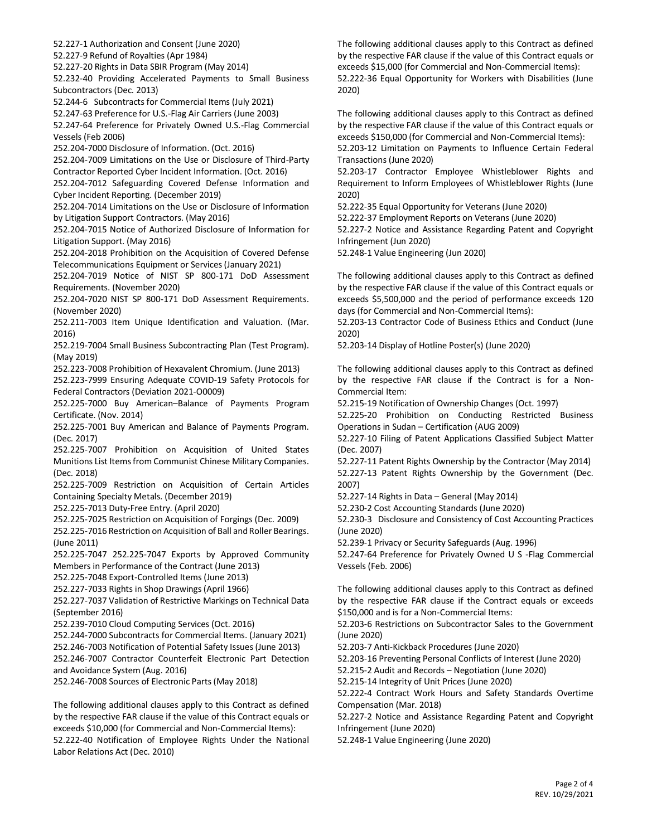52.227-1 Authorization and Consent (June 2020)

52.227-9 Refund of Royalties (Apr 1984)

52.227-20 Rights in Data SBIR Program (May 2014)

52.232-40 Providing Accelerated Payments to Small Business Subcontractors (Dec. 2013)

52.244-6 Subcontracts for Commercial Items (July 2021)

52.247-63 Preference for U.S.-Flag Air Carriers (June 2003)

52.247-64 Preference for Privately Owned U.S.-Flag Commercial Vessels (Feb 2006)

252.204-7000 Disclosure of Information. (Oct. 2016)

252.204-7009 Limitations on the Use or Disclosure of Third-Party Contractor Reported Cyber Incident Information. (Oct. 2016)

252.204-7012 Safeguarding Covered Defense Information and Cyber Incident Reporting. (December 2019)

252.204-7014 Limitations on the Use or Disclosure of Information by Litigation Support Contractors. (May 2016)

252.204-7015 Notice of Authorized Disclosure of Information for Litigation Support. (May 2016)

252.204-2018 Prohibition on the Acquisition of Covered Defense Telecommunications Equipment or Services (January 2021)

252.204-7019 Notice of NIST SP 800-171 DoD Assessment Requirements. (November 2020)

252.204-7020 NIST SP 800-171 DoD Assessment Requirements. (November 2020)

252.211-7003 Item Unique Identification and Valuation. (Mar. 2016)

252.219-7004 Small Business Subcontracting Plan (Test Program). (May 2019)

252.223-7008 Prohibition of Hexavalent Chromium. (June 2013)

252.223-7999 Ensuring Adequate COVID-19 Safety Protocols for Federal Contractors (Deviation 2021-O0009)

252.225-7000 Buy American–Balance of Payments Program Certificate. (Nov. 2014)

252.225-7001 Buy American and Balance of Payments Program. (Dec. 2017)

252.225-7007 Prohibition on Acquisition of United States Munitions List Items from Communist Chinese Military Companies. (Dec. 2018)

252.225-7009 Restriction on Acquisition of Certain Articles Containing Specialty Metals. (December 2019)

252.225-7013 Duty-Free Entry. (April 2020)

252.225-7025 Restriction on Acquisition of Forgings (Dec. 2009)

252.225-7016 Restriction on Acquisition of Ball and Roller Bearings. (June 2011)

252.225-7047 252.225-7047 Exports by Approved Community Members in Performance of the Contract (June 2013)

252.225-7048 Export-Controlled Items (June 2013)

252.227-7033 Rights in Shop Drawings (April 1966)

252.227-7037 Validation of Restrictive Markings on Technical Data (September 2016)

252.239-7010 Cloud Computing Services (Oct. 2016)

252.244-7000 Subcontracts for Commercial Items. (January 2021)

252.246-7003 Notification of Potential Safety Issues (June 2013)

252.246-7007 Contractor Counterfeit Electronic Part Detection and Avoidance System (Aug. 2016)

252.246-7008 Sources of Electronic Parts (May 2018)

The following additional clauses apply to this Contract as defined by the respective FAR clause if the value of this Contract equals or exceeds \$10,000 (for Commercial and Non-Commercial Items): 52.222-40 Notification of Employee Rights Under the National Labor Relations Act (Dec. 2010)

The following additional clauses apply to this Contract as defined by the respective FAR clause if the value of this Contract equals or exceeds \$15,000 (for Commercial and Non-Commercial Items): 52.222-36 Equal Opportunity for Workers with Disabilities (June 2020)

The following additional clauses apply to this Contract as defined by the respective FAR clause if the value of this Contract equals or exceeds \$150,000 (for Commercial and Non-Commercial Items): 52.203-12 Limitation on Payments to Influence Certain Federal Transactions (June 2020)

52.203-17 Contractor Employee Whistleblower Rights and Requirement to Inform Employees of Whistleblower Rights (June 2020)

52.222-35 Equal Opportunity for Veterans (June 2020)

52.222-37 Employment Reports on Veterans (June 2020)

52.227-2 Notice and Assistance Regarding Patent and Copyright Infringement (Jun 2020)

52.248-1 Value Engineering (Jun 2020)

The following additional clauses apply to this Contract as defined by the respective FAR clause if the value of this Contract equals or exceeds \$5,500,000 and the period of performance exceeds 120 days (for Commercial and Non-Commercial Items):

52.203-13 Contractor Code of Business Ethics and Conduct (June 2020)

52.203-14 Display of Hotline Poster(s) (June 2020)

The following additional clauses apply to this Contract as defined by the respective FAR clause if the Contract is for a Non-Commercial Item:

52.215-19 Notification of Ownership Changes (Oct. 1997)

52.225-20 Prohibition on Conducting Restricted Business Operations in Sudan – Certification (AUG 2009)

52.227-10 Filing of Patent Applications Classified Subject Matter (Dec. 2007)

52.227-11 Patent Rights Ownership by the Contractor (May 2014) 52.227-13 Patent Rights Ownership by the Government (Dec. 2007)

52.227-14 Rights in Data – General (May 2014)

52.230-2 Cost Accounting Standards (June 2020)

52.230-3 Disclosure and Consistency of Cost Accounting Practices (June 2020)

52.239-1 Privacy or Security Safeguards (Aug. 1996)

52.247-64 Preference for Privately Owned U S -Flag Commercial Vessels (Feb. 2006)

The following additional clauses apply to this Contract as defined by the respective FAR clause if the Contract equals or exceeds \$150,000 and is for a Non-Commercial Items:

52.203-6 Restrictions on Subcontractor Sales to the Government (June 2020)

52.203-7 Anti-Kickback Procedures (June 2020)

52.203-16 Preventing Personal Conflicts of Interest (June 2020)

52.215-2 Audit and Records – Negotiation (June 2020)

52.215-14 Integrity of Unit Prices (June 2020)

52.222-4 Contract Work Hours and Safety Standards Overtime Compensation (Mar. 2018)

52.227-2 Notice and Assistance Regarding Patent and Copyright Infringement (June 2020)

52.248-1 Value Engineering (June 2020)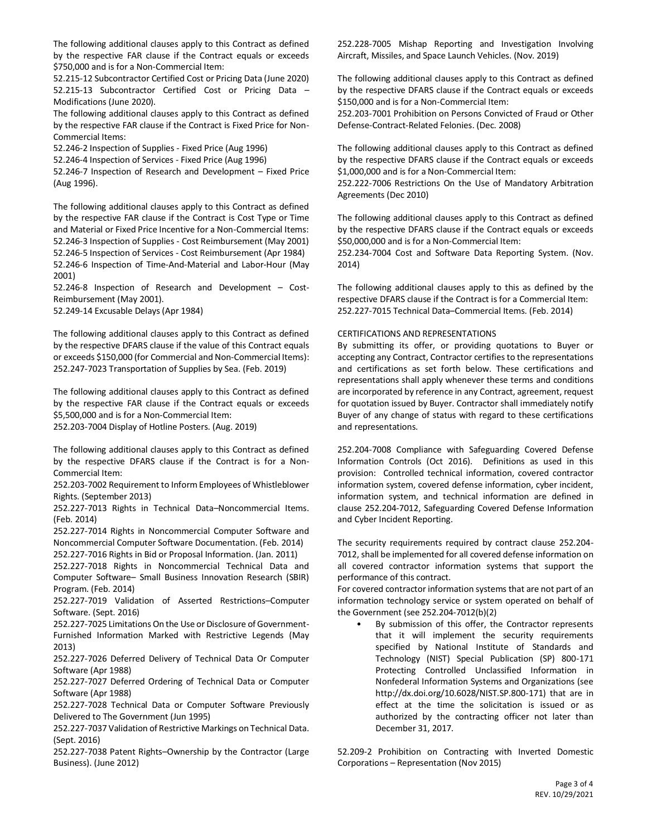The following additional clauses apply to this Contract as defined by the respective FAR clause if the Contract equals or exceeds \$750,000 and is for a Non-Commercial Item:

52.215-12 Subcontractor Certified Cost or Pricing Data (June 2020) 52.215-13 Subcontractor Certified Cost or Pricing Data – Modifications (June 2020).

The following additional clauses apply to this Contract as defined by the respective FAR clause if the Contract is Fixed Price for Non-Commercial Items:

52.246-2 Inspection of Supplies - Fixed Price (Aug 1996)

52.246-4 Inspection of Services - Fixed Price (Aug 1996)

52.246-7 Inspection of Research and Development – Fixed Price (Aug 1996).

The following additional clauses apply to this Contract as defined by the respective FAR clause if the Contract is Cost Type or Time and Material or Fixed Price Incentive for a Non-Commercial Items: 52.246-3 Inspection of Supplies - Cost Reimbursement (May 2001) 52.246-5 Inspection of Services - Cost Reimbursement (Apr 1984) 52.246-6 Inspection of Time-And-Material and Labor-Hour (May 2001)

52.246-8 Inspection of Research and Development – Cost-Reimbursement (May 2001).

52.249-14 Excusable Delays (Apr 1984)

The following additional clauses apply to this Contract as defined by the respective DFARS clause if the value of this Contract equals or exceeds \$150,000 (for Commercial and Non-Commercial Items): 252.247-7023 Transportation of Supplies by Sea. (Feb. 2019)

The following additional clauses apply to this Contract as defined by the respective FAR clause if the Contract equals or exceeds \$5,500,000 and is for a Non-Commercial Item:

252.203-7004 Display of Hotline Posters. (Aug. 2019)

The following additional clauses apply to this Contract as defined by the respective DFARS clause if the Contract is for a Non-Commercial Item:

252.203-7002 Requirement to Inform Employees of Whistleblower Rights. (September 2013)

252.227-7013 Rights in Technical Data–Noncommercial Items. (Feb. 2014)

252.227-7014 Rights in Noncommercial Computer Software and Noncommercial Computer Software Documentation. (Feb. 2014) 252.227-7016 Rights in Bid or Proposal Information. (Jan. 2011)

252.227-7018 Rights in Noncommercial Technical Data and Computer Software– Small Business Innovation Research (SBIR) Program. (Feb. 2014)

252.227-7019 Validation of Asserted Restrictions–Computer Software. (Sept. 2016)

252.227-7025 Limitations On the Use or Disclosure of Government-Furnished Information Marked with Restrictive Legends (May 2013)

252.227-7026 Deferred Delivery of Technical Data Or Computer Software (Apr 1988)

252.227-7027 Deferred Ordering of Technical Data or Computer Software (Apr 1988)

252.227-7028 Technical Data or Computer Software Previously Delivered to The Government (Jun 1995)

252.227-7037 Validation of Restrictive Markings on Technical Data. (Sept. 2016)

252.227-7038 Patent Rights–Ownership by the Contractor (Large Business). (June 2012)

252.228-7005 Mishap Reporting and Investigation Involving Aircraft, Missiles, and Space Launch Vehicles. (Nov. 2019)

The following additional clauses apply to this Contract as defined by the respective DFARS clause if the Contract equals or exceeds \$150,000 and is for a Non-Commercial Item:

252.203-7001 Prohibition on Persons Convicted of Fraud or Other Defense-Contract-Related Felonies. (Dec. 2008)

The following additional clauses apply to this Contract as defined by the respective DFARS clause if the Contract equals or exceeds \$1,000,000 and is for a Non-Commercial Item:

252.222-7006 Restrictions On the Use of Mandatory Arbitration Agreements (Dec 2010)

The following additional clauses apply to this Contract as defined by the respective DFARS clause if the Contract equals or exceeds \$50,000,000 and is for a Non-Commercial Item:

252.234-7004 Cost and Software Data Reporting System. (Nov. 2014)

The following additional clauses apply to this as defined by the respective DFARS clause if the Contract is for a Commercial Item: 252.227-7015 Technical Data–Commercial Items. (Feb. 2014)

## CERTIFICATIONS AND REPRESENTATIONS

By submitting its offer, or providing quotations to Buyer or accepting any Contract, Contractor certifies to the representations and certifications as set forth below. These certifications and representations shall apply whenever these terms and conditions are incorporated by reference in any Contract, agreement, request for quotation issued by Buyer. Contractor shall immediately notify Buyer of any change of status with regard to these certifications and representations.

252.204-7008 Compliance with Safeguarding Covered Defense Information Controls (Oct 2016). Definitions as used in this provision: Controlled technical information, covered contractor information system, covered defense information, cyber incident, information system, and technical information are defined in clause 252.204-7012, Safeguarding Covered Defense Information and Cyber Incident Reporting.

The security requirements required by contract clause 252.204- 7012, shall be implemented for all covered defense information on all covered contractor information systems that support the performance of this contract.

For covered contractor information systems that are not part of an information technology service or system operated on behalf of the Government (see 252.204-7012(b)(2)

By submission of this offer, the Contractor represents that it will implement the security requirements specified by National Institute of Standards and Technology (NIST) Special Publication (SP) 800-171 Protecting Controlled Unclassified Information in Nonfederal Information Systems and Organizations (see http://dx.doi.org/10.6028/NIST.SP.800-171) that are in effect at the time the solicitation is issued or as authorized by the contracting officer not later than December 31, 2017.

52.209-2 Prohibition on Contracting with Inverted Domestic Corporations – Representation (Nov 2015)